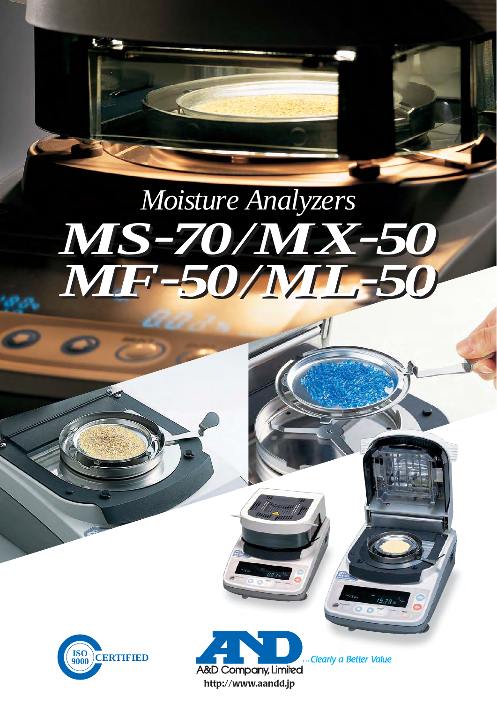# *Moisture Analyzers Moisture Analyzers MS-70/MX-50 MS-70/MX-50 MF-50/ML-50 MF-50/ML-50*



A&D Company, Limited  **http://www.aandd.jp**

... Clearly a Better Value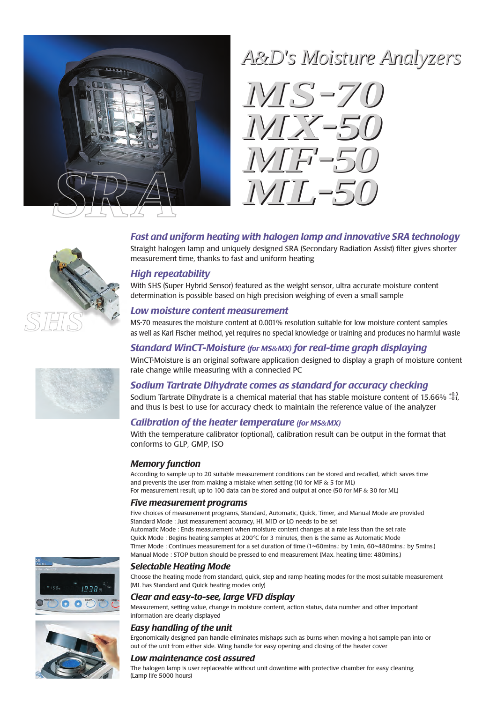

## *A&D's Moisture Analyzers D's Moisture Analyzers*



## *Fast and uniform heating with halogen lamp and innovative SRA technology*

Straight halogen lamp and uniquely designed SRA (Secondary Radiation Assist) filter gives shorter measurement time, thanks to fast and uniform heating

### *High repeatability*

With SHS (Super Hybrid Sensor) featured as the weight sensor, ultra accurate moisture content determination is possible based on high precision weighing of even a small sample

#### *Low moisture content measurement*

MS-70 measures the moisture content at 0.001% resolution suitable for low moisture content samples as well as Karl Fischer method, yet requires no special knowledge or training and produces no harmful waste

#### *Standard WinCT-Moisture (for MS&MX) for real-time graph displaying*

WinCT-Moisture is an original software application designed to display a graph of moisture content rate change while measuring with a connected PC

#### *Sodium Tartrate Dihydrate comes as standard for accuracy checking*

Sodium Tartrate Dihydrate is a chemical material that has stable moisture content of 15.66%  $^{+0.3}_{-0.1}$ , and thus is best to use for accuracy check to maintain the reference value of the analyzer

#### *Calibration of the heater temperature (for MS&MX)*

With the temperature calibrator (optional), calibration result can be output in the format that conforms to GLP, GMP, ISO

#### *Memory function*

According to sample up to 20 suitable measurement conditions can be stored and recalled, which saves time and prevents the user from making a mistake when setting (10 for MF & 5 for ML) For measurement result, up to 100 data can be stored and output at once (50 for MF & 30 for ML)

#### *Five measurement programs*

Five choices of measurement programs, Standard, Automatic, Quick, Timer, and Manual Mode are provided Standard Mode : Just measurement accuracy, HI, MID or LO needs to be set Automatic Mode : Ends measurement when moisture content changes at a rate less than the set rate Quick Mode : Begins heating samples at 200°C for 3 minutes, then is the same as Automatic Mode Timer Mode : Continues measurement for a set duration of time (1~60mins.: by 1min, 60~480min:<br>Manual Mode : STOP button should be pressed to end measurement (Max. heating time: 480mins.) Timer Mode : Continues measurement for a set duration of time (1~60mins.: by 1min. 60~480mins.: by 5mins.)

#### *Selectable Heating Mode*

Choose the heating mode from standard, quick, step and ramp heating modes for the most suitable measurement (ML has Standard and Quick heating modes only)

#### *Clear and easy-to-see, large VFD display*

Measurement, setting value, change in moisture content, action status, data number and other important information are clearly displayed

#### *Easy handling of the unit*

Ergonomically designed pan handle eliminates mishaps such as burns when moving a hot sample pan into or out of the unit from either side. Wing handle for easy opening and closing of the heater cover

#### *Low maintenance cost assured*

The halogen lamp is user replaceable without unit downtime with protective chamber for easy cleaning (Lamp life 5000 hours)







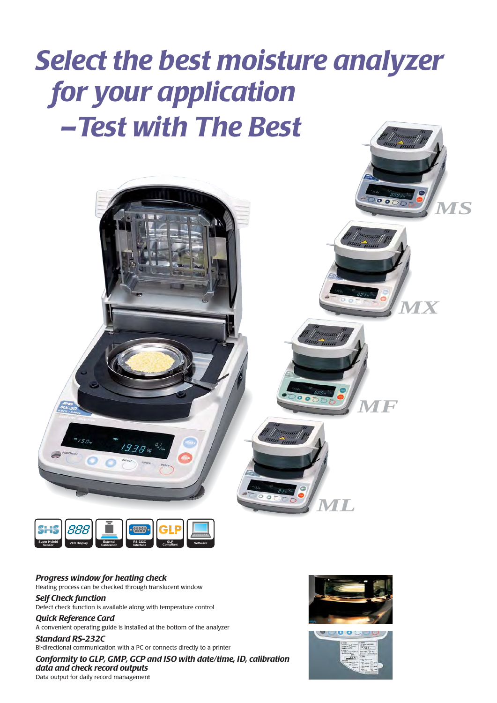## *Select the best moisture analyzer for your application –Test with The Best*





*Progress window for heating check* Heating process can be checked through translucent window

*Self Check function* Defect check function is available along with temperature control

*Quick Reference Card* A convenient operating guide is installed at the bottom of the analyzer

*Standard RS-232C* Bi-directional communication with a PC or connects directly to a printer

*Conformity to GLP, GMP, GCP and ISO with date/time, ID, calibration data and check record outputs* Data output for daily record management



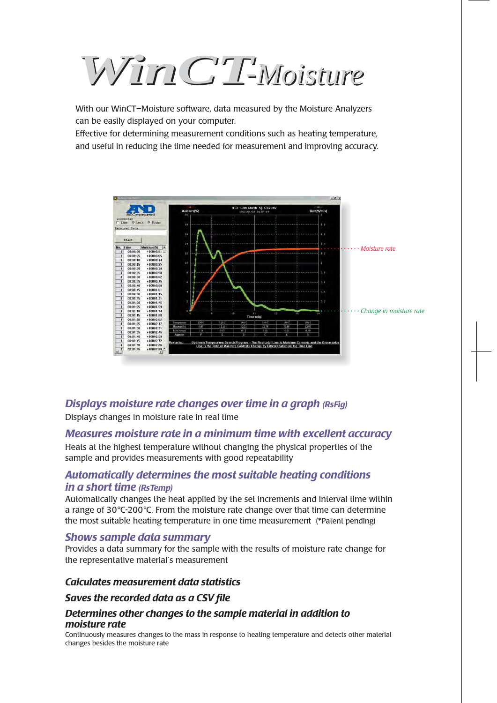*WinCT-Moisture Moisture*

With our WinCT–Moisture software, data measured by the Moisture Analyzers can be easily displayed on your computer.

Effective for determining measurement conditions such as heating temperature, and useful in reducing the time needed for measurement and improving accuracy.



### *Displays moisture rate changes over time in a graph (RsFig)*

Displays changes in moisture rate in real time

### *Measures moisture rate in a minimum time with excellent accuracy*

Heats at the highest temperature without changing the physical properties of the sample and provides measurements with good repeatability

## *Automatically determines the most suitable heating conditions in a short time (RsTemp)*

Automatically changes the heat applied by the set increments and interval time within a range of 30°C-200°C. From the moisture rate change over that time can determine the most suitable heating temperature in one time measurement (\*Patent pending)

#### *Shows sample data summary*

Provides a data summary for the sample with the results of moisture rate change for the representative material's measurement

#### *Calculates measurement data statistics*

#### *Saves the recorded data as a CSV file*

#### *Determines other changes to the sample material in addition to moisture rate*

Continuously measures changes to the mass in response to heating temperature and detects other material changes besides the moisture rate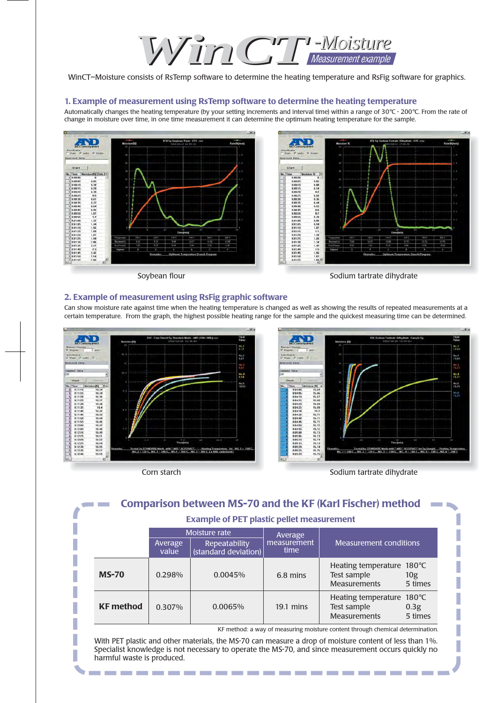WinCT<sup>*I*</sup>-Moisture</sup>

WinCT–Moisture consists of RsTemp software to determine the heating temperature and RsFig software for graphics.

#### **1. Example of measurement using RsTemp software to determine the heating temperature**

Automatically changes the heating temperature (by your setting increments and interval time) within a range of 30°C - 200°C. From the rate of change in moisture over time, in one time measurement it can determine the optimum heating temperature for the sample.

Can show moisture rate against time when the heating temperature is changed as well as showing the results of repeated measurements at a





 $\vert$ ej x

**TALLY** 

l,



#### **2. Example of measurement using RsFig graphic software**

 $-101x$ No.)<br>No.) No.2<br>5.67 No.4<br>9.94 Nu.5<br>10.53 09 10.34<br>10.34 10.37<br>10.37 10.37<br>10.47 10.44 10.44 10.44 10.44 10.44 10.45<br>10.45 10.52<br>10.52 11.53<br>10.55 11.53 [int 4:11:20 02:20 03:20 03:20 03:20 03:20 03:20 03:20 03:20 03:20 03:20 03:20 03:20 03:20 03:20 03:20 03:20 03:20 03:20 03:20 03:20 03:20 03:20 03:20 03:20 03:20 03:20 03:20 03:20 03:20 03:20 03:20 03:20 03:20 03:20 03: re for NO.1 = 100 .<br>1976 - Hand Hand Model William Marcheller (\* 1988), 1986 - Hannes Mo, 2 - 120 C, 1988<br>1986 - 120 C, 199, 3 - 140 C, 199, 4 - 160 C, 199, 5 - 189 C, 1 a little car

-------



Corn starch Sodium tartrate dihydrate

| <b>Comparison between MS-70 and the KF (Karl Fischer) method</b>               |               |                  |                                       |                     |                                                                 |                                    |  |
|--------------------------------------------------------------------------------|---------------|------------------|---------------------------------------|---------------------|-----------------------------------------------------------------|------------------------------------|--|
| <b>Example of PET plastic pellet measurement</b>                               |               |                  |                                       |                     |                                                                 |                                    |  |
|                                                                                | Moisture rate |                  | Average                               |                     |                                                                 |                                    |  |
|                                                                                |               | Average<br>value | Repeatability<br>(standard deviation) | measurement<br>time | Measurement conditions                                          |                                    |  |
| $MS-70$                                                                        |               | 0.298%           | 0.0045%                               | 6.8 mins            | Heating temperature 180°C<br>Test sample<br><b>Measurements</b> | 10 <sub>g</sub><br>5 times         |  |
| <b>KF</b> method                                                               |               | $0.307\%$        | 0.0065%                               | $19.1$ mins         | Heating temperature<br>Test sample<br><b>Measurements</b>       | 180 $\degree$ C<br>0.3g<br>5 times |  |
| KF method: a way of measuring moisture content through chemical determination. |               |                  |                                       |                     |                                                                 |                                    |  |

With PET plastic and other materials, the MS-70 can measure a drop of moisture content of less than 1%. Specialist knowledge is not necessary to operate the MS-70, and since measurement occurs quickly no harmful waste is produced.

certain temperature. From the graph, the highest possible heating range for the sample and the quickest measuring time can be determined.